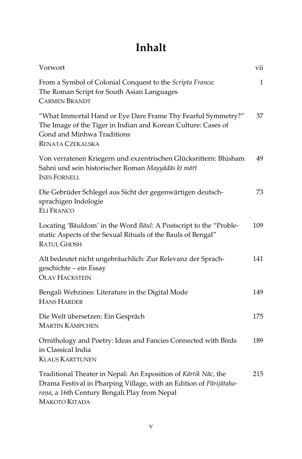## **Inhalt**

| Vorwort                                                                                                                                                                                               | vii |
|-------------------------------------------------------------------------------------------------------------------------------------------------------------------------------------------------------|-----|
| From a Symbol of Colonial Conquest to the Scripta Franca:<br>The Roman Script for South Asian Languages<br><b>CARMEN BRANDT</b>                                                                       | 1   |
| "What Immortal Hand or Eye Dare Frame Thy Fearful Symmetry?"<br>The Image of the Tiger in Indian and Korean Culture: Cases of<br>Gond and Minhwa Traditions<br><b>RENATA CZEKALSKA</b>                | 37  |
| Von verratenen Kriegern und exzentrischen Glücksrittern: Bhisham<br>Sahni und sein historischer Roman Mayyādās kī mārī<br><b>INES FORNELL</b>                                                         | 49  |
| Die Gebrüder Schlegel aus Sicht der gegenwärtigen deutsch-<br>sprachigen Indologie<br><b>ELI FRANCO</b>                                                                                               | 73  |
| Locating 'Bāuldom' in the Word Bāul: A Postscript to the "Proble-<br>matic Aspects of the Sexual Rituals of the Bauls of Bengal"<br><b>RATUL GHOSH</b>                                                | 109 |
| Alt bedeutet nicht ungebräuchlich: Zur Relevanz der Sprach-<br>geschichte – ein Essay<br><b>OLAV HACKSTEIN</b>                                                                                        | 141 |
| Bengali Webzines: Literature in the Digital Mode<br><b>HANS HARDER</b>                                                                                                                                | 149 |
| Die Welt übersetzen: Ein Gespräch<br><b>MARTIN KÄMPCHEN</b>                                                                                                                                           | 175 |
| Ornithology and Poetry: Ideas and Fancies Connected with Birds<br>in Classical India<br><b>KLAUS KARTTUNEN</b>                                                                                        | 189 |
| Traditional Theater in Nepal: An Exposition of Kārtik Nāc, the<br>Drama Festival in Pharping Village, with an Edition of Pārijātaha-<br>rana, a 16th Century Bengali Play from Nepal<br>МАКОТО КІТАДА | 215 |